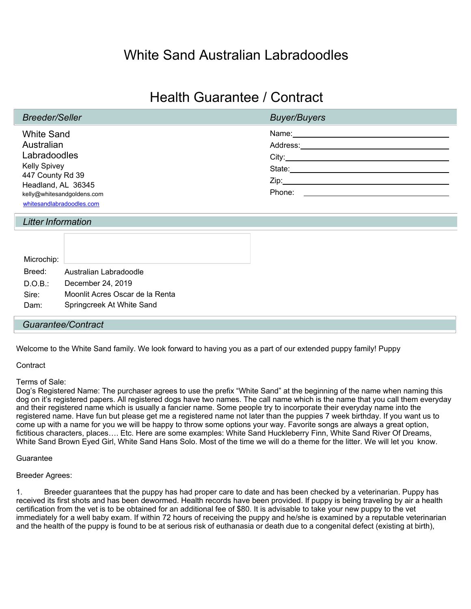# White Sand Australian Labradoodles

## Health Guarantee / Contract

| <b>Breeder/Seller</b>                            | <b>Buyer/Buyers</b>                                                                                                                                                                                                            |
|--------------------------------------------------|--------------------------------------------------------------------------------------------------------------------------------------------------------------------------------------------------------------------------------|
| <b>White Sand</b>                                |                                                                                                                                                                                                                                |
| Australian                                       | Address:                                                                                                                                                                                                                       |
| Labradoodles                                     | City: the contract of the contract of the contract of the contract of the contract of the contract of the contract of the contract of the contract of the contract of the contract of the contract of the contract of the cont |
| <b>Kelly Spivey</b>                              | State: and the state of the state of the state of the state of the state of the state of the state of the state of the state of the state of the state of the state of the state of the state of the state of the state of the |
| 447 County Rd 39                                 |                                                                                                                                                                                                                                |
| Headland, AL 36345<br>kelly@whitesandgoldens.com | Phone:<br><u> 1980 - Jan Stein Stein Stein Stein Stein Stein Stein Stein Stein Stein Stein Stein Stein Stein Stein Stein S</u>                                                                                                 |
| whitesandlabradoodles.com                        |                                                                                                                                                                                                                                |

*Litter Information*

| Microchip: |                                 |
|------------|---------------------------------|
| Breed:     | Australian Labradoodle          |
| D.O.B.:    | December 24, 2019               |
| Sire:      | Moonlit Acres Oscar de la Renta |
| Dam:       | Springcreek At White Sand       |
|            |                                 |

#### *Guarantee/Contract*

Welcome to the White Sand family. We look forward to having you as a part of our extended puppy family! Puppy

#### **Contract**

Terms of Sale:

Dog's Registered Name: The purchaser agrees to use the prefix "White Sand" at the beginning of the name when naming this dog on it's registered papers. All registered dogs have two names. The call name which is the name that you call them everyday and their registered name which is usually a fancier name. Some people try to incorporate their everyday name into the registered name. Have fun but please get me a registered name not later than the puppies 7 week birthday. If you want us to come up with a name for you we will be happy to throw some options your way. Favorite songs are always a great option, fictitious characters, places.... Etc. Here are some examples: White Sand Huckleberry Finn, White Sand River Of Dreams, White Sand Brown Eyed Girl, White Sand Hans Solo. Most of the time we will do a theme for the litter. We will let you know.

#### Guarantee

#### Breeder Agrees:

1. Breeder guarantees that the puppy has had proper care to date and has been checked by a veterinarian. Puppy has received its first shots and has been dewormed. Health records have been provided. If puppy is being traveling by air a health certification from the vet is to be obtained for an additional fee of \$80. It is advisable to take your new puppy to the vet immediately for a well baby exam. If within 72 hours of receiving the puppy and he/she is examined by a reputable veterinarian and the health of the puppy is found to be at serious risk of euthanasia or death due to a congenital defect (existing at birth),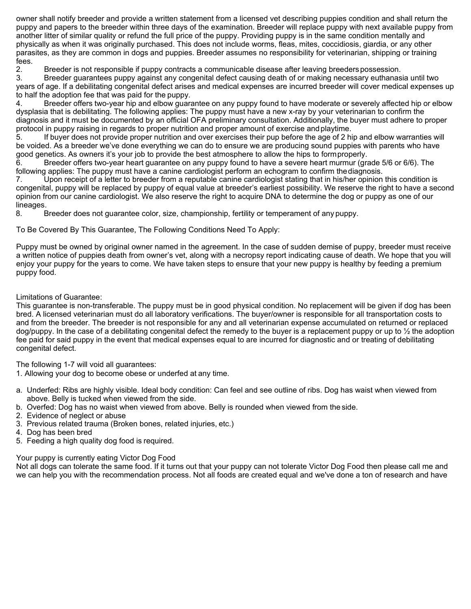owner shall notify breeder and provide a written statement from a licensed vet describing puppies condition and shall return the puppy and papers to the breeder within three days of the examination. Breeder will replace puppy with next available puppy from another litter of similar quality or refund the full price of the puppy. Providing puppy is in the same condition mentally and physically as when it was originally purchased. This does not include worms, fleas, mites, coccidiosis, giardia, or any other parasites, as they are common in dogs and puppies. Breeder assumes no responsibility for veterinarian, shipping or training fees.

2. Breeder is not responsible if puppy contracts a communicable disease after leaving breeders possession.<br>3. Breeder quarantees puppy against any congenital defect causing death of or making necessary euthanas

Breeder guarantees puppy against any congenital defect causing death of or making necessary euthanasia until two years of age. If a debilitating congenital defect arises and medical expenses are incurred breeder will cover medical expenses up to half the adoption fee that was paid for the puppy.

4. Breeder offers two-year hip and elbow guarantee on any puppy found to have moderate or severely affected hip or elbow dysplasia that is debilitating. The following applies: The puppy must have a new x-ray by your veterinarian to confirm the diagnosis and it must be documented by an official OFA preliminary consultation. Additionally, the buyer must adhere to proper protocol in puppy raising in regards to proper nutrition and proper amount of exercise andplaytime.

5. If buyer does not provide proper nutrition and over exercises their pup before the age of 2 hip and elbow warranties will be voided. As a breeder we've done everything we can do to ensure we are producing sound puppies with parents who have good genetics. As owners it's your job to provide the best atmosphere to allow the hips to formproperly.

6. Breeder offers two-year heart guarantee on any puppy found to have a severe heart murmur (grade 5/6 or 6/6). The following applies: The puppy must have a canine cardiologist perform an echogram to confirm thediagnosis.

7. Upon receipt of a letter to breeder from a reputable canine cardiologist stating that in his/her opinion this condition is congenital, puppy will be replaced by puppy of equal value at breeder's earliest possibility. We reserve the right to have a second opinion from our canine cardiologist. We also reserve the right to acquire DNA to determine the dog or puppy as one of our lineages.

8. Breeder does not guarantee color, size, championship, fertility or temperament of any puppy.

To Be Covered By This Guarantee, The Following Conditions Need To Apply:

Puppy must be owned by original owner named in the agreement. In the case of sudden demise of puppy, breeder must receive a written notice of puppies death from owner's vet, along with a necropsy report indicating cause of death. We hope that you will enjoy your puppy for the years to come. We have taken steps to ensure that your new puppy is healthy by feeding a premium puppy food.

Limitations of Guarantee:

This guarantee is non-transferable. The puppy must be in good physical condition. No replacement will be given if dog has been bred. A licensed veterinarian must do all laboratory verifications. The buyer/owner is responsible for all transportation costs to and from the breeder. The breeder is not responsible for any and all veterinarian expense accumulated on returned or replaced dog/puppy. In the case of a debilitating congenital defect the remedy to the buyer is a replacement puppy or up to  $\frac{1}{2}$  the adoption fee paid for said puppy in the event that medical expenses equal to are incurred for diagnostic and or treating of debilitating congenital defect.

The following 1-7 will void all guarantees:

1. Allowing your dog to become obese or underfed at any time.

- a. Underfed: Ribs are highly visible. Ideal body condition: Can feel and see outline of ribs. Dog has waist when viewed from above. Belly is tucked when viewed from the side.
- b. Overfed: Dog has no waist when viewed from above. Belly is rounded when viewed from the side.
- 2. Evidence of neglect or abuse
- 3. Previous related trauma (Broken bones, related injuries, etc.)
- 4. Dog has been bred
- 5. Feeding a high quality dog food is required.

### Your puppy is currently eating Victor Dog Food

Not all dogs can tolerate the same food. If it turns out that your puppy can not tolerate Victor Dog Food then please call me and we can help you with the recommendation process. Not all foods are created equal and we've done a ton of research and have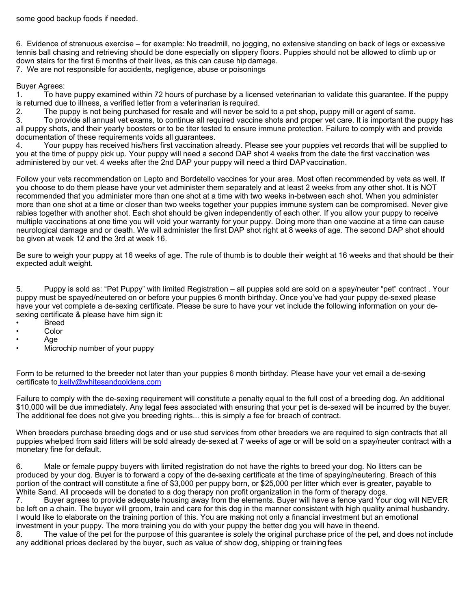some good backup foods if needed.

6. Evidence of strenuous exercise – for example: No treadmill, no jogging, no extensive standing on back of legs or excessive tennis ball chasing and retrieving should be done especially on slippery floors. Puppies should not be allowed to climb up or down stairs for the first 6 months of their lives, as this can cause hip damage.

7. We are not responsible for accidents, negligence, abuse or poisonings

Buyer Agrees:

1. To have puppy examined within 72 hours of purchase by a licensed veterinarian to validate this guarantee. If the puppy is returned due to illness, a verified letter from a veterinarian is required.

2. The puppy is not being purchased for resale and will never be sold to a pet shop, puppy mill or agent of same.

3. To provide all annual vet exams, to continue all required vaccine shots and proper vet care. It is important the puppy has all puppy shots, and their yearly boosters or to be titer tested to ensure immune protection. Failure to comply with and provide documentation of these requirements voids all guarantees.

4. Your puppy has received his/hers first vaccination already. Please see your puppies vet records that will be supplied to you at the time of puppy pick up. Your puppy will need a second DAP shot 4 weeks from the date the first vaccination was administered by our vet. 4 weeks after the 2nd DAP your puppy will need a third DAPvaccination.

Follow your vets recommendation on Lepto and Bordetello vaccines for your area. Most often recommended by vets as well. If you choose to do them please have your vet administer them separately and at least 2 weeks from any other shot. It is NOT recommended that you administer more than one shot at a time with two weeks in-between each shot. When you administer more than one shot at a time or closer than two weeks together your puppies immune system can be compromised. Never give rabies together with another shot. Each shot should be given independently of each other. If you allow your puppy to receive multiple vaccinations at one time you will void your warranty for your puppy. Doing more than one vaccine at a time can cause neurological damage and or death. We will administer the first DAP shot right at 8 weeks of age. The second DAP shot should be given at week 12 and the 3rd at week 16.

Be sure to weigh your puppy at 16 weeks of age. The rule of thumb is to double their weight at 16 weeks and that should be their expected adult weight.

5. Puppy is sold as: "Pet Puppy" with limited Registration – all puppies sold are sold on a spay/neuter "pet" contract . Your puppy must be spayed/neutered on or before your puppies 6 month birthday. Once you've had your puppy de-sexed please have your vet complete a de-sexing certificate. Please be sure to have your vet include the following information on your desexing certificate & please have him sign it:

- **Breed**
- Color
- Age
- Microchip number of your puppy

Form to be returned to the breeder not later than your puppies 6 month birthday. Please have your vet email a de-sexing certificate to [kelly@whitesandgoldens.com](mailto:%20kelly@whitesandgoldens.com)

Failure to comply with the de-sexing requirement will constitute a penalty equal to the full cost of a breeding dog. An additional \$10,000 will be due immediately. Any legal fees associated with ensuring that your pet is de-sexed will be incurred by the buyer. The additional fee does not give you breeding rights... this is simply a fee for breach of contract.

When breeders purchase breeding dogs and or use stud services from other breeders we are required to sign contracts that all puppies whelped from said litters will be sold already de-sexed at 7 weeks of age or will be sold on a spay/neuter contract with a monetary fine for default.

6. Male or female puppy buyers with limited registration do not have the rights to breed your dog. No litters can be produced by your dog. Buyer is to forward a copy of the de-sexing certificate at the time of spaying/neutering. Breach of this portion of the contract will constitute a fine of \$3,000 per puppy born, or \$25,000 per litter which ever is greater, payable to White Sand. All proceeds will be donated to a dog therapy non profit organization in the form of therapy dogs.

7. Buyer agrees to provide adequate housing away from the elements. Buyer will have a fence yard Your dog will NEVER be left on a chain. The buyer will groom, train and care for this dog in the manner consistent with high quality animal husbandry. I would like to elaborate on the training portion of this. You are making not only a financial investment but an emotional investment in your puppy. The more training you do with your puppy the better dog you will have in theend.

8. The value of the pet for the purpose of this guarantee is solely the original purchase price of the pet, and does not include any additional prices declared by the buyer, such as value of show dog, shipping or training fees